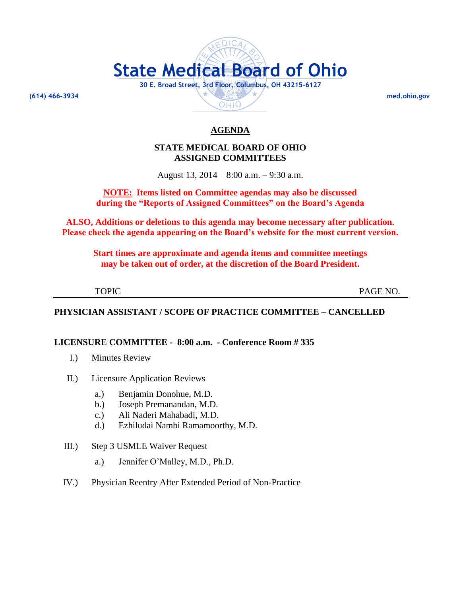# **State Medical Board of Ohio 30 E. Broad Street, 3rd Floor, Columbus, OH 43215-6127 (614) 466-3934 med.ohio.gov**OHIO

# **AGENDA**

# **STATE MEDICAL BOARD OF OHIO ASSIGNED COMMITTEES**

August 13, 2014 8:00 a.m. – 9:30 a.m.

# **NOTE: Items listed on Committee agendas may also be discussed during the "Reports of Assigned Committees" on the Board's Agenda**

**ALSO, Additions or deletions to this agenda may become necessary after publication. Please check the agenda appearing on the Board's website for the most current version.**

**Start times are approximate and agenda items and committee meetings may be taken out of order, at the discretion of the Board President.**

| × |  |
|---|--|

PAGE NO.

# **PHYSICIAN ASSISTANT / SCOPE OF PRACTICE COMMITTEE – CANCELLED**

# **LICENSURE COMMITTEE - 8:00 a.m. - Conference Room # 335**

- I.) Minutes Review
- II.) Licensure Application Reviews
	- a.) Benjamin Donohue, M.D.
	- b.) Joseph Premanandan, M.D.
	- c.) Ali Naderi Mahabadi, M.D.
	- d.) Ezhiludai Nambi Ramamoorthy, M.D.
- III.) Step 3 USMLE Waiver Request
	- a.) Jennifer O'Malley, M.D., Ph.D.
- IV.) Physician Reentry After Extended Period of Non-Practice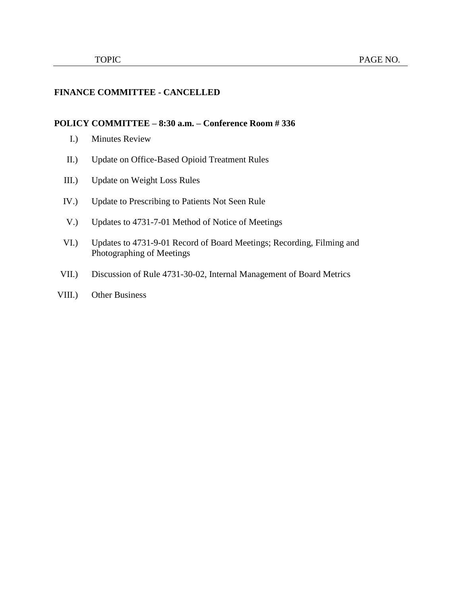# **FINANCE COMMITTEE - CANCELLED**

#### **POLICY COMMITTEE – 8:30 a.m. – Conference Room # 336**

- I.) Minutes Review
- II.) Update on Office-Based Opioid Treatment Rules
- III.) Update on Weight Loss Rules
- IV.) Update to Prescribing to Patients Not Seen Rule
- V.) Updates to 4731-7-01 Method of Notice of Meetings
- VI.) Updates to 4731-9-01 Record of Board Meetings; Recording, Filming and Photographing of Meetings
- VII.) Discussion of Rule 4731-30-02, Internal Management of Board Metrics
- VIII.) Other Business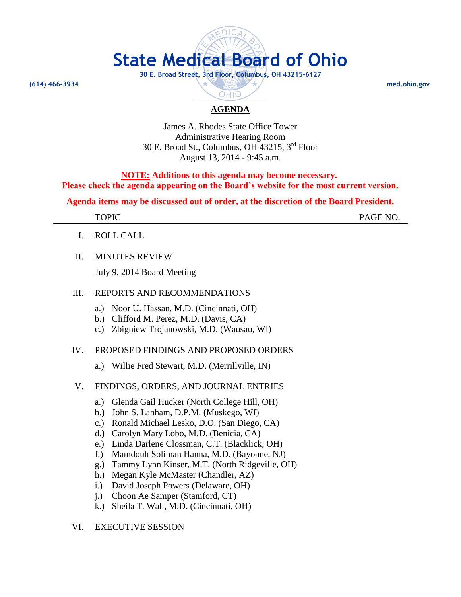

# **AGENDA**

OHIO

James A. Rhodes State Office Tower Administrative Hearing Room 30 E. Broad St., Columbus, OH 43215, 3rd Floor August 13, 2014 - 9:45 a.m.

**NOTE: Additions to this agenda may become necessary. Please check the agenda appearing on the Board's website for the most current version.**

**Agenda items may be discussed out of order, at the discretion of the Board President.**

TOPIC PAGE NO.

- I. ROLL CALL
- II. MINUTES REVIEW

July 9, 2014 Board Meeting

# III. REPORTS AND RECOMMENDATIONS

- a.) Noor U. Hassan, M.D. (Cincinnati, OH)
- b.) Clifford M. Perez, M.D. (Davis, CA)
- c.) Zbigniew Trojanowski, M.D. (Wausau, WI)

#### IV. PROPOSED FINDINGS AND PROPOSED ORDERS

a.) Willie Fred Stewart, M.D. (Merrillville, IN)

#### V. FINDINGS, ORDERS, AND JOURNAL ENTRIES

- a.) Glenda Gail Hucker (North College Hill, OH)
- b.) John S. Lanham, D.P.M. (Muskego, WI)
- c.) Ronald Michael Lesko, D.O. (San Diego, CA)
- d.) Carolyn Mary Lobo, M.D. (Benicia, CA)
- e.) Linda Darlene Clossman, C.T. (Blacklick, OH)
- f.) Mamdouh Soliman Hanna, M.D. (Bayonne, NJ)
- g.) Tammy Lynn Kinser, M.T. (North Ridgeville, OH)
- h.) Megan Kyle McMaster (Chandler, AZ)
- i.) David Joseph Powers (Delaware, OH)
- j.) Choon Ae Samper (Stamford, CT)
- k.) Sheila T. Wall, M.D. (Cincinnati, OH)

# VI. EXECUTIVE SESSION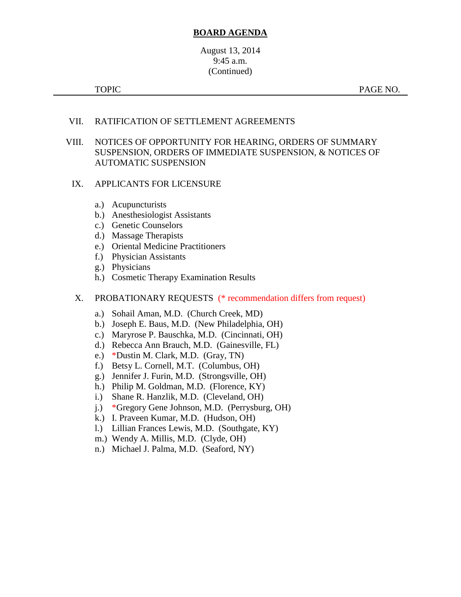## **BOARD AGENDA**

# August 13, 2014 9:45 a.m. (Continued)

TOPIC PAGE NO.

# VII. RATIFICATION OF SETTLEMENT AGREEMENTS

### VIII. NOTICES OF OPPORTUNITY FOR HEARING, ORDERS OF SUMMARY SUSPENSION, ORDERS OF IMMEDIATE SUSPENSION, & NOTICES OF AUTOMATIC SUSPENSION

#### IX. APPLICANTS FOR LICENSURE

- a.) Acupuncturists
- b.) Anesthesiologist Assistants
- c.) Genetic Counselors
- d.) Massage Therapists
- e.) Oriental Medicine Practitioners
- f.) Physician Assistants
- g.) Physicians
- h.) Cosmetic Therapy Examination Results

#### X. PROBATIONARY REQUESTS (\* recommendation differs from request)

- a.) Sohail Aman, M.D. (Church Creek, MD)
- b.) Joseph E. Baus, M.D. (New Philadelphia, OH)
- c.) Maryrose P. Bauschka, M.D. (Cincinnati, OH)
- d.) Rebecca Ann Brauch, M.D. (Gainesville, FL)
- e.) \*Dustin M. Clark, M.D. (Gray, TN)
- f.) Betsy L. Cornell, M.T. (Columbus, OH)
- g.) Jennifer J. Furin, M.D. (Strongsville, OH)
- h.) Philip M. Goldman, M.D. (Florence, KY)
- i.) Shane R. Hanzlik, M.D. (Cleveland, OH)
- j.) \*Gregory Gene Johnson, M.D. (Perrysburg, OH)
- k.) I. Praveen Kumar, M.D. (Hudson, OH)
- l.) Lillian Frances Lewis, M.D. (Southgate, KY)
- m.) Wendy A. Millis, M.D. (Clyde, OH)
- n.) Michael J. Palma, M.D. (Seaford, NY)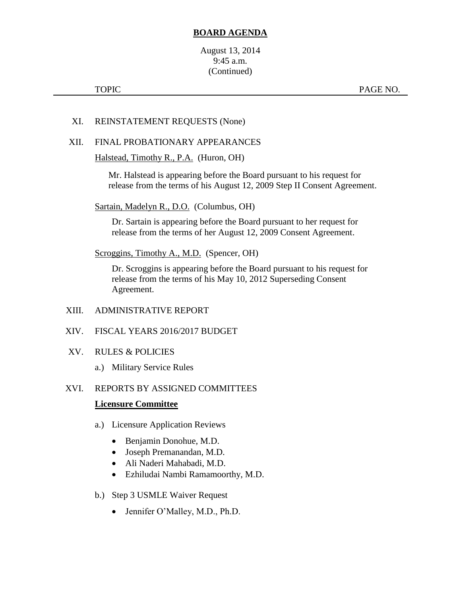# **BOARD AGENDA**

August 13, 2014 9:45 a.m. (Continued)

## XI. REINSTATEMENT REQUESTS (None)

#### XII. FINAL PROBATIONARY APPEARANCES

Halstead, Timothy R., P.A. (Huron, OH)

Mr. Halstead is appearing before the Board pursuant to his request for release from the terms of his August 12, 2009 Step II Consent Agreement.

Sartain, Madelyn R., D.O. (Columbus, OH)

Dr. Sartain is appearing before the Board pursuant to her request for release from the terms of her August 12, 2009 Consent Agreement.

Scroggins, Timothy A., M.D. (Spencer, OH)

Dr. Scroggins is appearing before the Board pursuant to his request for release from the terms of his May 10, 2012 Superseding Consent Agreement.

- XIII. ADMINISTRATIVE REPORT
- XIV. FISCAL YEARS 2016/2017 BUDGET
- XV. RULES & POLICIES
	- a.) Military Service Rules

#### XVI. REPORTS BY ASSIGNED COMMITTEES

#### **Licensure Committee**

- a.) Licensure Application Reviews
	- Benjamin Donohue, M.D.
	- Joseph Premanandan, M.D.
	- Ali Naderi Mahabadi, M.D.
	- Ezhiludai Nambi Ramamoorthy, M.D.
- b.) Step 3 USMLE Waiver Request
	- Jennifer O'Malley, M.D., Ph.D.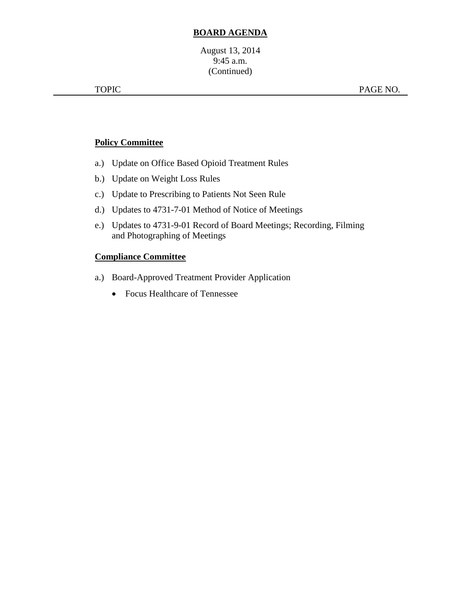# **BOARD AGENDA**

# **Policy Committee**

- a.) Update on Office Based Opioid Treatment Rules
- b.) Update on Weight Loss Rules
- c.) Update to Prescribing to Patients Not Seen Rule
- d.) Updates to 4731-7-01 Method of Notice of Meetings
- e.) Updates to 4731-9-01 Record of Board Meetings; Recording, Filming and Photographing of Meetings

# **Compliance Committee**

- a.) Board-Approved Treatment Provider Application
	- Focus Healthcare of Tennessee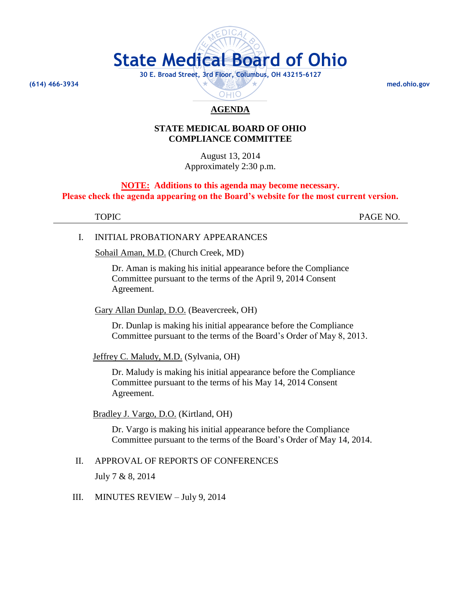

# **AGENDA**

#### **STATE MEDICAL BOARD OF OHIO COMPLIANCE COMMITTEE**

August 13, 2014 Approximately 2:30 p.m.

#### **NOTE: Additions to this agenda may become necessary. Please check the agenda appearing on the Board's website for the most current version.**

TOPIC PAGE NO.

#### I. INITIAL PROBATIONARY APPEARANCES

Sohail Aman, M.D. (Church Creek, MD)

Dr. Aman is making his initial appearance before the Compliance Committee pursuant to the terms of the April 9, 2014 Consent Agreement.

Gary Allan Dunlap, D.O. (Beavercreek, OH)

Dr. Dunlap is making his initial appearance before the Compliance Committee pursuant to the terms of the Board's Order of May 8, 2013.

Jeffrey C. Maludy, M.D. (Sylvania, OH)

Dr. Maludy is making his initial appearance before the Compliance Committee pursuant to the terms of his May 14, 2014 Consent Agreement.

#### Bradley J. Vargo, D.O. (Kirtland, OH)

Dr. Vargo is making his initial appearance before the Compliance Committee pursuant to the terms of the Board's Order of May 14, 2014.

#### II. APPROVAL OF REPORTS OF CONFERENCES

July 7 & 8, 2014

#### III. MINUTES REVIEW – July 9, 2014